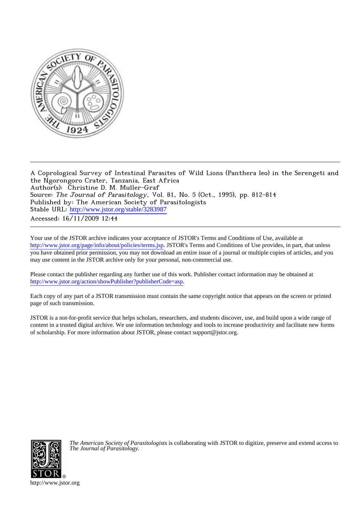

A Coprological Survey of Intestinal Parasites of Wild Lions (Panthera leo) in the Serengeti and the Ngorongoro Crater, Tanzania, East Africa Author(s): Christine D. M. Muller-Graf Source: The Journal of Parasitology, Vol. 81, No. 5 (Oct., 1995), pp. 812-814 Published by: The American Society of Parasitologists Stable URL: [http://www.jstor.org/stable/3283987](http://www.jstor.org/stable/3283987?origin=JSTOR-pdf) Accessed: 16/11/2009 12:44

Your use of the JSTOR archive indicates your acceptance of JSTOR's Terms and Conditions of Use, available at <http://www.jstor.org/page/info/about/policies/terms.jsp>. JSTOR's Terms and Conditions of Use provides, in part, that unless you have obtained prior permission, you may not download an entire issue of a journal or multiple copies of articles, and you may use content in the JSTOR archive only for your personal, non-commercial use.

Please contact the publisher regarding any further use of this work. Publisher contact information may be obtained at <http://www.jstor.org/action/showPublisher?publisherCode=asp>.

Each copy of any part of a JSTOR transmission must contain the same copyright notice that appears on the screen or printed page of such transmission.

JSTOR is a not-for-profit service that helps scholars, researchers, and students discover, use, and build upon a wide range of content in a trusted digital archive. We use information technology and tools to increase productivity and facilitate new forms of scholarship. For more information about JSTOR, please contact support@jstor.org.



*The American Society of Parasitologists* is collaborating with JSTOR to digitize, preserve and extend access to *The Journal of Parasitology.*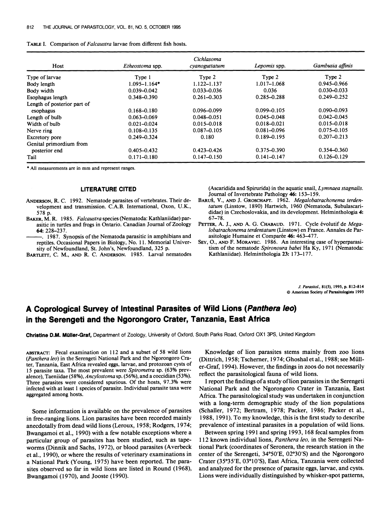| TABLE I. Comparison of <i>Falcaustra</i> larvae from different fish hosts. |  |  |  |  |
|----------------------------------------------------------------------------|--|--|--|--|
|----------------------------------------------------------------------------|--|--|--|--|

| Host                        | Etheostoma spp.  | Cichlasoma<br>cyanoguttatum | Lepomis spp.    | Gambusia affinis |
|-----------------------------|------------------|-----------------------------|-----------------|------------------|
| Type of larvae              | Type 1           | Type 2                      | Type 2          | Type 2           |
| Body length                 | $1.095 - 1.164*$ | 1.122-1.137                 | $1.017 - 1.068$ | $0.945 - 0.966$  |
| Body width                  | $0.039 - 0.042$  | $0.033 - 0.036$             | 0.036           | $0.030 - 0.033$  |
| Esophagus length            | $0.348 - 0.390$  | $0.261 - 0.303$             | $0.285 - 0.288$ | $0.249 - 0.252$  |
| Length of posterior part of |                  |                             |                 |                  |
| esophagus                   | $0.168 - 0.180$  | $0.096 - 0.099$             | $0.099 - 0.105$ | $0.090 - 0.093$  |
| Length of bulb              | 0.063–0.069      | $0.048 - 0.051$             | $0.045 - 0.048$ | $0.042 - 0.045$  |
| Width of bulb               | $0.021 - 0.024$  | $0.015 - 0.018$             | $0.018 - 0.021$ | $0.015 - 0.018$  |
| Nerve ring                  | $0.108 - 0.135$  | $0.087 - 0.105$             | $0.081 - 0.096$ | $0.075 - 0.105$  |
| Excretory pore              | $0.249 - 0.324$  | 0.180                       | $0.189 - 0.195$ | $0.207 - 0.213$  |
| Genital primordium from     |                  |                             |                 |                  |
| posterior end               | $0.405 - 0.432$  | $0.423 - 0.426$             | $0.375 - 0.390$ | $0.354 - 0.360$  |
| Tail                        | $0.171 - 0.180$  | $0.147 - 0.150$             | $0.141 - 0.147$ | $0.126 - 0.129$  |

**\* All measurements are in mm and represent ranges.** 

## **LITERATURE CITED**

- **ANDERSON, R. C. 1992. Nematode parasites of vertebrates. Their development and transmission. C.A.B. International, Oxon, U.K., 578 p.**
- **BAKER, M. R. 1985. Falcaustra species (Nematoda: Kathlaniidae) parasitic in turtles and frogs in Ontario. Canadian Journal of Zoology 64: 228-237.**
- **1987. Synopsis of the Nematoda parasitic in amphibians and reptiles. Occasional Papers in Biology, No. 11. Memorial University of Newfoundland, St. John's, Newfoundland, 325 p.**
- **BARTLETT, C. M., AND R. C. ANDERSON. 1985. Larval nematodes**

**(Ascaridida and Spirurida) in the aquatic snail, Lymnaea stagnalis. Journal of Invertebrate Pathology 46: 153-159.** 

- **BARUS, V., AND J. GRosCHAFr. 1962. Megalobatrachonema terdentatum (Linstow, 1890) Hartwich, 1960 (Nematoda, Subulascarididae) in Czechoslovakia, and its development. Helminthologia 4: 67-78.**
- PETTER, A. J., AND A. G. CHABAUD. 1971. Cycle évolutif de *Mega***lobatrachonema terdentatum (Linstow) en France. Annales de Par**asitologie Humaine et Comparée 46: 463-477.
- **SEY, O., AND F. MoRAvEc. 1986. An interesting case of hyperparasitism of the nematode Spironoura babei Ha Ky, 1971 (Nematoda: Kathlaniidae). Helminthologia 23: 173-177.**

**J. Parasitol., 81(5), 1995, p. 812-814 ? American Society of Parasitologists 1995** 

## **A Coprological Survey of Intestinal Parasites of Wild Lions (Panthera leo) in the Serengeti and the Ngorongoro Crater, Tanzania, East Africa**

**Christine D.M. Miiller-Graf, Department of Zoology, University of Oxford, South Parks Road, Oxford OX1 3PS, United Kingdom** 

ABSTRACT: Fecal examination on 112 and a subset of 58 wild lions **(Panthera leo) in the Serengeti National Park and the Ngorongoro Crater, Tanzania, East Africa revealed eggs, larvae, and protozoan cysts of 15 parasite taxa. The most prevalent were Spirometra sp. (63% prevalence), Taeniidae (58%), Ancylostoma sp. (56%), and a coccidian (53%). Three parasites were considered spurious. Of the hosts, 97.3% were infected with at least 1 species of parasite. Individual parasite taxa were aggregated among hosts.** 

**Some information is available on the prevalence of parasites in free-ranging lions. Lion parasites have been recorded mainly anecdotally from dead wild lions (Leroux, 1958; Rodgers, 1974; Bwangamoi et al., 1990) with a few notable exceptions where a particular group of parasites has been studied, such as tapeworms (Dinnik and Sachs, 1972), or blood parasites (Averbeck et al., 1990), or where the results of veterinary examinations in a National Park (Young, 1975) have been reported. The parasites observed so far in wild lions are listed in Round (1968), Bwangamoi (1970), and Jooste (1990).** 

**Knowledge of lion parasites stems mainly from zoo lions (Dittrich, 1958; Tscherner, 1974; Ghoshal et al., 1988; see Muller-Graf, 1994). However, the findings in zoos do not necessarily reflect the parasitological fauna of wild lions.** 

**I report the findings of a study of lion parasites in the Serengeti National Park and the Ngorongoro Crater in Tanzania, East Africa. The parasitological study was undertaken in conjunction with a long-term demographic study of the lion populations (Schaller, 1972; Bertram, 1978; Packer, 1986; Packer et al., 1988, 1991). To my knowledge, this is the first study to describe prevalence of intestinal parasites in a population of wild lions.** 

**Between spring 1991 and spring 1993, 168 fecal samples from 112 known individual lions, Panthera leo, in the Serengeti National Park (coordinates of Seronera, the research station in the center of the Serengeti, 34?50'E, 02?30'S) and the Ngorongoro Crater (35?35'E, 03?10'S), East Africa, Tanzania were collected and analyzed for the presence of parasite eggs, larvae, and cysts. Lions were individually distinguished by whisker-spot patterns,**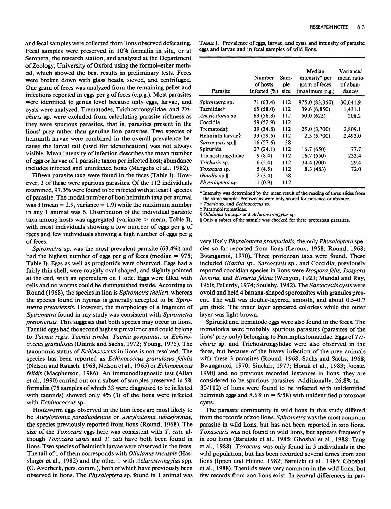**and fecal samples were collected from lions observed defecating. Fecal samples were preserved in 10% formalin in situ, or at Seronera, the research station, and analyzed at the Department of Zoology, University of Oxford using the formol-ether method, which showed the best results in preliminary tests. Feces were broken down with glass beads, sieved, and centrifuged. One gram of feces was analyzed from the remaining pellet and infections reported in eggs per g of feces (e.p.g.). Most parasites were identified to genus level because only eggs, larvae, and cysts were analyzed. Trematodes, Trichostrongylidae, and Trichuris sp. were excluded from calculating parasite richness as they were spurious parasites, that is, parasites present in the lions' prey rather than genuine lion parasites. Two species of helminth larvae were combined in the overall prevalence because the larval tail (used for identification) was not always visible. Mean intensity of infection describes the mean number of eggs or larvae of 1 parasite taxon per infected host; abundance includes infected and uninfected hosts (Margolis et al., 1982).** 

**Fifteen parasite taxa were found in the feces (Table I). However, 3 of these were spurious parasites. Of the 112 individuals examined, 97.3% were found to be infected with at least 1 species of parasite. The modal number of lion helminth taxa per animal was 3 (mean = 2.9, variance = 1.9) while the maximum number in any 1 animal was 6. Distribution of the individual parasite taxa among hosts was aggregated (variance > mean; Table I), with most individuals showing a low number of eggs per g of feces and few individuals showing a high number of eggs per g of feces.** 

**Spirometra sp. was the most prevalent parasite (63.4%) and had the highest number of eggs per g of feces (median = 975; Table I). Eggs as well as proglottids were observed. Eggs had a fairly thin shell, were roughly oval shaped, and slightly pointed at the end, with an operculum on 1 side. Eggs were filled with cells and no worms could be distinguished inside. According to Round (1968), the species in lion is Spirometra theileri, whereas the species found in hyenas is generally accepted to be Spirometra pretoriensis. However, the morphology of a fragment of Spirometra found in my study was consistent with Spirometra pretoriensis. This suggests that both species may occur in lions. Taeniid eggs had the second highest prevalence and could belong to Taenia regis, Taenia simba, Taenia gonyamai, or Echinococcus granulosus (Dinnik and Sachs, 1972; Young, 1975). The taxonomic status of Echinococcus in lions is not resolved. The species has been reported as Echinococcus granulosus felidis (Nelson and Rausch, 1963; Nelson et al., 1965) or Echinococcus felidis (Macpherson, 1986). An immunodiagnostic test (Allan et al., 1990) carried out on a subset of samples preserved in 5% formalin (75 samples of which 33 were diagnosed to be infected with taeniids) showed only 4% (3) of the lions were infected with Echinococcus sp.** 

**Hookworm eggs observed in the lion feces are most likely to be Ancylostoma paraduodenale or Ancylostoma tubaeformae, the species previously reported from lions (Round, 1968). The size of the Toxocara eggs here was consistent with T. cati, although Toxocara canis and T. cati have both been found in lions. Two species of helminth larvae were observed in the feces. The tail of 1 of them corresponds with Ollulanus tricuspis (Hasslinger et al., 1982) and the other 1 with Aelurostrongylus spp. (G. Averbeck, pers. comm.), both of which have previously been observed in lions. The Physaloptera sp. found in 1 animal was**  **TABLE I. Prevalence of eggs, larvae, and cysts and intensity of parasite eggs and larvae and in fecal samples of wild lions.** 

| Parasite                | Number<br>of hosts<br>infected (%) | Sam-<br>ple<br>size | Median<br>intensity* per<br>gram of feces<br>(maximum p.g.) | Variance/<br>mean ratio<br>of abun-<br>dances |
|-------------------------|------------------------------------|---------------------|-------------------------------------------------------------|-----------------------------------------------|
| Spirometra sp.          | 71 (63.4)                          | 112                 | 975.0 (83,350)                                              | 30,641.9                                      |
| <b>Taeniidaet</b>       | 65 (58.0)                          | 112                 | 39.6 (6,850)                                                | 1,431.1                                       |
| Ancylostoma sp.         | 63 (56.3)                          | 112                 | 50.0 (625)                                                  | 208.2                                         |
| Coccidia                | 59 (52.9)                          | 112                 |                                                             |                                               |
| Trematoda‡              | 39 (34.8)                          | 112                 | 25.0 (3,700)                                                | 2,809.1                                       |
| Helminth larvae§        | 33(29.5)                           | 112                 | 2.3(5,700)                                                  | 2,493.0                                       |
| Sarcocystis sp.         | 16(27.6)                           | 58                  |                                                             |                                               |
| Spirurida               | 27(24.1)                           | 112                 | 16.7 (650)                                                  | 77.7                                          |
| Trichostrongylidae      | 9(8.4)                             | 112                 | 16.7 (550)                                                  | 233.4                                         |
| Trichuris sp.           | 6(5.4)                             | 112                 | 34.4 (200)                                                  | 29.4                                          |
| Toxocara sp.            | 5(4.5)                             | 112                 | 8.3(483)                                                    | 72.0                                          |
| Giardia sp. $\parallel$ | 2(3.4)                             | 58                  |                                                             |                                               |
| Physaloptera sp.        | 1(0.9)                             | 112                 |                                                             |                                               |

**\* Intensity was determined by the mean result of the reading of three slides from the same sample. Protozoans were only scored for presence or absence.** 

**t Taenia sp. and Echinococcus sp. t Paramphistomatidae.** 

**? Ollulanus tricuspis and Aeluronstrongylus sp.** 

**11 Only a subset of the sample was checked for these protozoan parasites.** 

**very likely Physaloptera praeputialis, the only Physaloptera species so far reported from lions (Leroux, 1958; Round, 1968; Bwangamoi, 1970). Three protozoan taxa were found. These included Giardia sp., Sarcocystis sp., and Coccidia; previously reported coccidian species in lions were Isosporafelis, Isospora leonina, and Eimeria felina (Wenyon, 1923; Mandal and Ray, 1960; Pellerdy, 1974; Soulsby, 1982). The Sarcocystis cysts were ovoid and held 4 banana-shaped sporozoites with granules present. The wall was double-layered, smooth, and about 0.5-0.7**   $\mu$ m thick. The inner layer appeared colorless while the outer **layer was light brown.** 

**Spirurid and trematode eggs were also found in the feces. The trematodes were probably spurious parasites (parasites of the lions' prey only) belonging to Paramphistomatidae. Eggs of Trichuris sp. and Trichostrongylidae were also observed in the feces, but because of the heavy infection of the prey animals with these 3 parasites (Round, 1968; Sachs and Sachs, 1968; Bwangamoi, 1970; Sinclair, 1977; Horak et al., 1983; Jooste, 1990) and no previous recorded instances in lions, they are considered to be spurious parasites. Additionally, 26.8% (n = 30/112) of lions were found to be infected with unidentified helminth eggs and 8.6% (n = 5/58) with unidentified protozoan cysts.** 

**The parasite community in wild lions in this study differed from the records of zoo lions. Spirometra was the most common parasite in wild lions, but has not been reported in zoo lions. Toxascaris was not found in wild lions, but appears frequently in zoo lions (Barutzki et al., 1985; Ghoshal et al., 1988; Tang et al., 1988). Toxocara was only found in 5 individuals in the wild population, but has been recorded several times from zoo lions (Ippen and Henne, 1982; Barutzki et al., 1985; Ghoshal et al., 1988). Taeniids were very common in the wild lions, but few records from zoo lions exist. In general differences in par-**